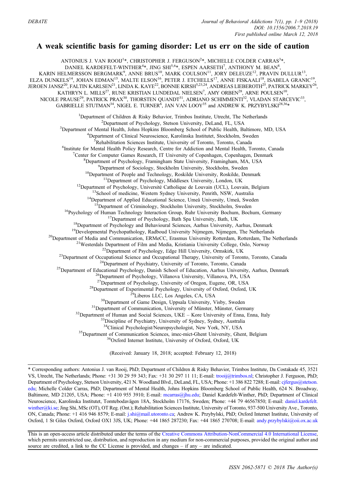# A weak scientific basis for gaming disorder: Let us err on the side of caution

ANTONIUS J. VAN ROOIJ<sup>1</sup>\*, CHRISTOPHER J. FERGUSON<sup>2</sup>\*, MICHELLE COLDER CARRAS<sup>3</sup>\*, DANIEL KARDEFELT-WINTHER<sup>4\*</sup>, JING SHI<sup>5,6\*</sup>, ESPEN AARSETH<sup>7</sup>, ANTHONY M. BEAN<sup>8</sup>, KARIN HELMERSSON BERGMARK $^9$ , ANNE BRUS $^{10}$ , MARK COULSON $^{11}$ , JORY DELEUZE $^{12}$ , PRAVIN DULLUR $^{13}$ , ELZA DUNKELS<sup>14</sup>, JOHAN EDMAN<sup>15</sup>, MALTE ELSON<sup>16</sup>, PETER J. ETCHELLS<sup>17</sup>, ANNE FISKAALI<sup>18</sup>, ISABELA GRANIC<sup>19</sup>, JEROEN JANSZ20, FALTIN KARLSEN21, LINDA K. KAYE22, BONNIE KIRSH5,23,24, ANDREAS LIEBEROTH25, PATRICK MARKEY26, KATHRYN L. MILLS $^{27}$ , RUNE KRISTIAN LUNDEDAL NIELSEN $^7$ , AMY ORBEN $^{28}$ , ARNE POULSEN $^{10}$ , NICOLE PRAUSE<sup>29</sup>, PATRICK PRAX<sup>30</sup>, THORSTEN QUANDT<sup>31</sup>, ADRIANO SCHIMMENTI<sup>32</sup>, VLADAN STARCEVIC<sup>33</sup>, GABRIELLE STUTMAN<sup>34</sup>, NIGEL E. TURNER<sup>6</sup>, JAN VAN LOOY<sup>35</sup> and ANDREW K. PRZYBYLSKI<sup>28,36</sup>\* <sup>1</sup>Department of Children & Risky Behavior, Trimbos Institute, Utrecht, The Netherlands<br><sup>2</sup>Department of Beychology, Stateon University, DeLand EL USA <sup>2</sup>Department of Psychology, Stetson University, DeLand, FL, USA <sup>3</sup>Department of Mental Health, Johns Hopkins Bloomberg School of Public Health, Baltimore, MD, USA <sup>4</sup>Department of Clinical Neuroscience, Karolinska Institutet, Stockholm, Sweden  $\overline{\overline{S}}$ Rehabilitation Sciences Institute, University of Toronto, Toronto, Canada <sup>6</sup>Institute for Mental Health Policy Research, Centre for Addiction and Mental Health, Toronto, Canada <sup>7</sup> Center for Computer Games Research, IT University of Copenhagen, Copenhagen, Denmark <sup>8</sup>Department of Psychology, Framingham State University, Framingham, MA, USA <sup>9</sup>Department of Sociology, Stockholm University, Stockholm, Sweden <sup>10</sup>Department of People and Technology, Roskilde University, Roskilde, Denmark<br><sup>11</sup>Department of Psychology, Middlesex University, London, UK<br><sup>12</sup>Department of Psychology, Université Catholique de Louvain (UCL), Louvain, <sup>15</sup>Department of Criminology, Stockholm University, Stockholm, Sweden<br><sup>16</sup>Psychology of Human Technology Interaction Group, Ruhr University Bochum, Bochum, Germany<br><sup>17</sup>Department of Psychology, Bath Spa University, Bath, <sup>27</sup>Department of Psychology, University of Oregon, Eugene, OR, USA<br><sup>28</sup>Department of Experimental Psychology, University of Oxford, Oxford, UK<br><sup>29</sup>Liberos LLC, Los Angeles, CA, USA<br><sup>30</sup>Department of Game Design, Uppsala <sup>34</sup>Clinical Psychologist/Neuropsychologist, New York, NY, USA<br><sup>35</sup>Department of Communication Sciences, imec-mict-Ghent University, Ghent, Belgium  $360x$  ford Internet Institute, University of Oxford, Oxford, UK (Received: January 18, 2018; accepted: February 12, 2018)

\* Corresponding authors: Antonius J. van Rooij, PhD; Department of Children & Risky Behavior, Trimbos Institute, Da Costakade 45, 3521<br>VS, Utrecht, The Netherlands; Phone: +31 30 29 59 343; Fax: +31 30 297 11 11; E-mail: t VS, Utrecht, The Netherlands; Phone: +31 30 29 59 343; Fax: +31 30 297 11 11; E-mail: [trooij@trimbos.nl](mailto:trooij@trimbos.nl); Christopher J. Ferguson, PhD; [edu;](mailto:cjfergus@stetson.edu) Michelle Colder Carras, PhD; Department of Mental Health, Johns Hopkins Bloomberg School of Public Health, 624 N. Broadway, VS, Ottecht, The Netherlands; Phone: +51 30 29 39 343; Pax: +51 30 29/ 11 11; E-mail: doolf@thinoos.hi; Christopher J. Ferguson, PhD;<br>Department of Psychology, Stetson University, 421 N. Woodland Blvd., DeLand, FL, USA; Ph Department of Fsychology, Stetson University, 421 N. Woodnand Brvd., DeEand, FL, USA, Fhone: +1 360 822 7286, E-mail. Unergus@stetson.<br>edu; Michelle Colder Carras, PhD; Department of Mental Health, Johns Hopkins Bloomberg edu; Michelle Colder Carlas, PilD; Department of Mental Health, Johns Hopkins Bioomberg School of Public Health, 024 N. Bioadway,<br>Baltimore, MD 21205, USA; Phone: +1 410 955 3910; E-mail: mearras@jhu.edu; Daniel Kardefelt-Neuroscience, Karolinska Institutet, Tomtebodavägen 18A, Stockholm 17176, Sweden; Phone: +44 79 46567850; E‑mail: daniel.kardefelt.<br>winther@ki.se; Jing Shi, MSc (OT), OT Reg. (Ont.); Rehabilitation Sciences Institute, Univ ON, Canada; Phone: +1 416 946 8579; E-mail: j.shi@mail.utoronto.ca; Andrew K. Przybylski, PhD; Oxford Internet Institute, University of Oxford, 1 St Giles Oxford, Oxford OX1 3JS, UK; Phone: +44 1865 27230; Fax: +44 1865 27

This is an open-access article distributed under the terms of the [Creative Commons Attribution-NonCommercial 4.0 International License,](http://creativecommons.org/licenses/by-nc/4.0/) which permits unrestricted use, distribution, and reproduction in any medium for non-commercial purposes, provided the original author and source are credited, a link to the CC License is provided, and changes – if any – are indicated.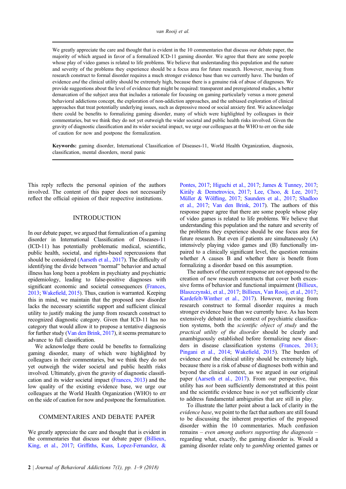We greatly appreciate the care and thought that is evident in the 10 commentaries that discuss our debate paper, the majority of which argued in favor of a formalized ICD-11 gaming disorder. We agree that there are some people whose play of video games is related to life problems. We believe that understanding this population and the nature and severity of the problems they experience should be a focus area for future research. However, moving from research construct to formal disorder requires a much stronger evidence base than we currently have. The burden of evidence and the clinical utility should be extremely high, because there is a genuine risk of abuse of diagnoses. We provide suggestions about the level of evidence that might be required: transparent and preregistered studies, a better demarcation of the subject area that includes a rationale for focusing on gaming particularly versus a more general behavioral addictions concept, the exploration of non-addiction approaches, and the unbiased exploration of clinical approaches that treat potentially underlying issues, such as depressive mood or social anxiety first. We acknowledge there could be benefits to formalizing gaming disorder, many of which were highlighted by colleagues in their commentaries, but we think they do not yet outweigh the wider societal and public health risks involved. Given the gravity of diagnostic classification and its wider societal impact, we urge our colleagues at the WHO to err on the side of caution for now and postpone the formalization.

Keywords: gaming disorder, International Classification of Diseases-11, World Health Organization, diagnosis, classification, mental disorders, moral panic

This reply reflects the personal opinion of the authors involved. The content of this paper does not necessarily reflect the official opinion of their respective institutions.

## INTRODUCTION

In our debate paper, we argued that formalization of a gaming disorder in International Classification of Diseases-11 (ICD-11) has potentially problematic medical, scientific, public health, societal, and rights-based repercussions that should be considered ([Aarseth et al., 2017](#page-6-0)). The difficulty of identifying the divide between "normal" behavior and actual illness has long been a problem in psychiatry and psychiatric epidemiology, leading to false-positive diagnoses with significant economic and societal consequences [\(Frances,](#page-6-0) [2013;](#page-6-0) Wakefi[eld, 2015](#page-8-0)). Thus, caution is warranted. Keeping this in mind, we maintain that the proposed new disorder lacks the necessary scientific support and sufficient clinical utility to justify making the jump from research construct to recognized diagnostic category. Given that ICD-11 has no category that would allow it to propose a tentative diagnosis for further study ([Van den Brink, 2017](#page-8-0)), it seems premature to advance to full classification.

We acknowledge there could be benefits to formalizing gaming disorder, many of which were highlighted by colleagues in their commentaries, but we think they do not yet outweigh the wider societal and public health risks involved. Ultimately, given the gravity of diagnostic classification and its wider societal impact ([Frances, 2013](#page-6-0)) and the low quality of the existing evidence base, we urge our colleagues at the World Health Organization (WHO) to err on the side of caution for now and postpone the formalization.

# COMMENTARIES AND DEBATE PAPER

We greatly appreciate the care and thought that is evident in the commentaries that discuss our debate paper [\(Billieux,](#page-6-0) [King, et al., 2017](#page-6-0); Griffi[ths, Kuss, Lopez-Fernandez, &](#page-6-0)

[Pontes, 2017;](#page-6-0) [Higuchi et al., 2017;](#page-7-0) [James & Tunney, 2017](#page-7-0); [Király & Demetrovics, 2017;](#page-7-0) [Lee, Choo, & Lee, 2017](#page-7-0); [Müller & Wöl](#page-7-0)fling, 2017; [Saunders et al., 2017;](#page-8-0) [Shadloo](#page-8-0) [et al., 2017](#page-8-0); [Van den Brink, 2017\)](#page-8-0). The authors of this response paper agree that there are some people whose play of video games is related to life problems. We believe that understanding this population and the nature and severity of the problems they experience should be one focus area for future research. But even if patients are simultaneously (A) intensively playing video games and (B) functionally impaired to a clinically significant level, the question remains whether A causes B and whether there is benefit from formalizing a disorder based on this assumption.

The authors of the current response are not opposed to the creation of new research constructs that cover both exces-sive forms of behavior and functional impairment ([Billieux,](#page-6-0) [Blaszczynski, et al., 2017](#page-6-0); [Billieux, Van Rooij, et al., 2017](#page-6-0); [Kardefelt-Winther et al., 2017](#page-7-0)). However, moving from research construct to formal disorder requires a much stronger evidence base than we currently have. As has been extensively debated in the context of psychiatric classification systems, both the scientific object of study and the practical utility of the disorder should be clearly and unambiguously established before formalizing new disorders in disease classification systems ([Frances, 2013](#page-6-0); [Pingani et al., 2014](#page-7-0); Wakefi[eld, 2015](#page-8-0)). The burden of evidence *and* the clinical utility should be extremely high, because there is a risk of abuse of diagnoses both within and beyond the clinical context, as we argued in our original paper ([Aarseth et al., 2017\)](#page-6-0). From our perspective, this utility has not been sufficiently demonstrated at this point and the scientific evidence base is not yet sufficiently clear to address fundamental ambiguities that are still in play.

To illustrate the latter point about a lack of clarity in the evidence base, we point to the fact that authors are still found to be discussing the inherent properties of the proposed disorder within the 10 commentaries. Much confusion remains – even among authors supporting the diagnosis – regarding what, exactly, the gaming disorder is. Would a gaming disorder relate only to gambling oriented games or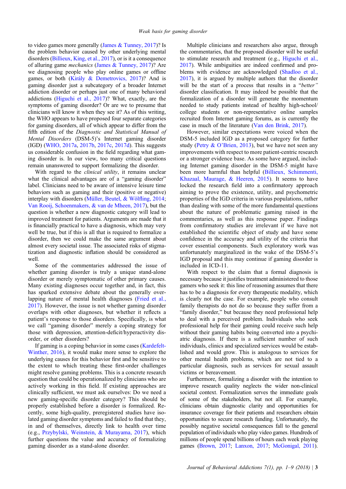to video games more generally [\(James & Tunney, 2017](#page-7-0))? Is the problem behavior caused by other underlying mental disorders ([Billieux, King, et al., 2017](#page-6-0)), or is it a consequence of alluring game mechanics [\(James & Tunney, 2017](#page-7-0))? Are we diagnosing people who play online games or offline games, or both [\(Király & Demetrovics, 2017](#page-7-0))? And is gaming disorder just a subcategory of a broader Internet addiction disorder or perhaps just one of many behavioral addictions ([Higuchi et al., 2017](#page-7-0))? What, exactly, are the symptoms of gaming disorder? Or are we to presume that clinicians will know it when they see it? As of this writing, the WHO appears to have proposed four separate categories for gaming disorders, all of which appear to differ from the fifth edition of the Diagnostic and Statistical Manual of Mental Disorders (DSM-5)'s Internet gaming disorder (IGD) [\(WHO, 2017a](#page-8-0), [2017b](#page-8-0), [2017c](#page-8-0), [2017d\)](#page-8-0). This suggests us considerable confusion in the field regarding what gaming disorder is. In our view, too many critical questions remain unanswered to support formalizing the disorder.

With regard to the *clinical utility*, it remains unclear what the clinical advantages are of a "gaming disorder" label. Clinicians need to be aware of intensive leisure time behaviors such as gaming and their (positive or negative) interplay with disorders ([Müller, Beutel, & Wöl](#page-7-0)fling, 2014; [Van Rooij, Schoenmakers, & van de Mheen, 2017\)](#page-8-0), but the question is whether a new diagnostic category will lead to improved treatment for patients. Arguments are made that it is financially practical to have a diagnosis, which may very well be true, but if this is all that is required to formalize a disorder, then we could make the same argument about almost every societal issue. The associated risks of stigmatization and diagnostic inflation should be considered as well.

Some of the commentaries addressed the issue of whether gaming disorder is truly a unique stand-alone disorder or merely symptomatic of other primary causes. Many existing diagnoses occur together and, in fact, this has sparked extensive debate about the generally over-lapping nature of mental health diagnoses ([Fried et al.,](#page-6-0) [2017\)](#page-6-0). However, the issue is not whether gaming disorder overlaps with other diagnoses, but whether it reflects a patient's response to those disorders. Specifically, is what we call "gaming disorder" merely a coping strategy for those with depression, attention-deficit/hyperactivity disorder, or other disorders?

If gaming is a coping behavior in some cases ([Kardefelt-](#page-7-0)[Winther, 2016](#page-7-0)), it would make more sense to explore the underlying causes for this behavior first and be sensitive to the extent to which treating these first-order challenges might resolve gaming problems. This is a concrete research question that could be operationalized by clinicians who are actively working in this field. If existing approaches are clinically sufficient, we must ask ourselves: Do we need a new gaming-specific disorder category? This should be properly established before a disorder is formalized. Recently, some high-quality, preregistered studies have isolated gaming disorder symptoms and failed to find that they, in and of themselves, directly link to health over time (e.g., [Przybylski, Weinstein, & Murayama, 2017](#page-8-0)), which further questions the value and accuracy of formalizing gaming disorder as a stand-alone disorder.

Multiple clinicians and researchers also argue, through the commentaries, that the proposed disorder will be useful to stimulate research and treatment (e.g., [Higuchi et al.,](#page-7-0) [2017\)](#page-7-0). While ambiguities are indeed confirmed and problems with evidence are acknowledged ([Shadloo et al.,](#page-8-0) [2017\)](#page-8-0), it is argued by multiple authors that the disorder will be the start of a process that results in a "better" disorder classification. It may indeed be possible that the formalization of a disorder will generate the momentum needed to study patients instead of healthy high-school/ college students or non-representative online samples recruited from Internet gaming forums, as is currently the case in much of the literature [\(Van den Brink, 2017](#page-8-0)).

However, similar expectations were voiced when the DSM-5 included IGD as a proposed category for further study (Petry & O'[Brien, 2013\)](#page-7-0), but we have not seen any improvements with respect to more patient-centric research or a stronger evidence base. As some have argued, including Internet gaming disorder in the DSM-5 might have been more harmful than helpful ([Billieux, Schimmenti,](#page-6-0) [Khazaal, Maurage, & Heeren, 2015\)](#page-6-0). It seems to have locked the research field into a confirmatory approach aiming to prove the existence, utility, and psychometric properties of the IGD criteria in various populations, rather than dealing with some of the more fundamental questions about the nature of problematic gaming raised in the commentaries, as well as this response paper. Findings from confirmatory studies are irrelevant if we have not established the scientific object of study and have some confidence in the accuracy and utility of the criteria that cover essential components. Such exploratory work was unfortunately marginalized in the wake of the DSM-5's IGD proposal and this may continue if gaming disorder is included in ICD-11.

With respect to the claim that a formal diagnosis is necessary because it justifies treatment administered to those gamers who seek it: this line of reasoning assumes that there has to be a diagnosis for every therapeutic modality, which is clearly not the case. For example, people who consult family therapists do not do so because they suffer from a "family disorder," but because they need professional help to deal with a perceived problem. Individuals who seek professional help for their gaming could receive such help without their gaming habits being converted into a psychiatric diagnosis. If there is a sufficient number of such individuals, clinics and specialized services would be established and would grow. This is analogous to services for other mental health problems, which are not tied to a particular diagnosis, such as services for sexual assault victims or bereavement.

Furthermore, formalizing a disorder with the intention to improve research quality neglects the wider non-clinical societal context. Formalization serves the immediate goals of some of the stakeholders, but not all. For example, clinicians obtain diagnostic clarity and opportunities for insurance coverage for their patients and researchers obtain opportunities to secure research funding. Unfortunately, the possibly negative societal consequences fall to the general population of individuals who play video games. Hundreds of millions of people spend billions of hours each week playing games ([Brown, 2017;](#page-6-0) [Lanxon, 2017;](#page-7-0) [McGonigal, 2011](#page-7-0)).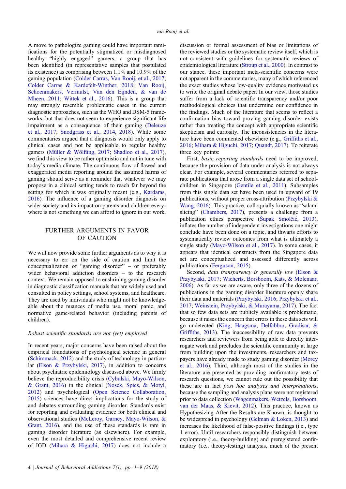A move to pathologize gaming could have important ramifications for the potentially stigmatized or misdiagnosed healthy "highly engaged" gamers, a group that has been identified (in representative samples that postulated its existence) as comprising between 1.1% and 10.9% of the gaming population ([Colder Carras, Van Rooij, et al., 2017;](#page-6-0) [Colder Carras & Kardefelt-Winther, 2018](#page-6-0); [Van Rooij,](#page-8-0) [Schoenmakers, Vermulst, Van den Eijnden, & van de](#page-8-0) [Mheen, 2011;](#page-8-0) [Wittek et al., 2016](#page-8-0)). This is a group that may strongly resemble problematic cases in the current diagnostic approaches, such as the WHO and DSM-5 frameworks, but that does not seem to experience significant life impairment as a consequence of their gaming [\(Deleuze](#page-6-0) [et al., 2017;](#page-6-0) [Snodgrass et al., 2014](#page-8-0), [2018](#page-8-0)). While some commentaries argued that a diagnosis would only apply to clinical cases and not be applicable to regular healthy gamers [\(Müller & Wöl](#page-7-0)fling, 2017; [Shadloo et al., 2017\)](#page-8-0), we find this view to be rather optimistic and not in tune with today's media climate. The continuous flow of flawed and exaggerated media reporting around the assumed harms of gaming should serve as a reminder that whatever we may propose in a clinical setting tends to reach far beyond the setting for which it was originally meant (e.g., [Kardaras,](#page-7-0) [2016](#page-7-0)). The influence of a gaming disorder diagnosis on wider society and its impact on parents and children everywhere is not something we can afford to ignore in our work.

# FURTHER ARGUMENTS IN FAVOR OF CAUTION

We will now provide some further arguments as to why it is necessary to err on the side of caution and limit the conceptualization of "gaming disorder" – or preferably wider behavioral addiction disorders – to the research context. We remain opposed to enshrining gaming disorder in diagnostic classification manuals that are widely used and consulted in policy settings, school systems, and healthcare. They are used by individuals who might not be knowledgeable about the nuances of media use, moral panic, and normative game-related behavior (including parents of children).

## Robust scientific standards are not (yet) employed

In recent years, major concerns have been raised about the empirical foundations of psychological science in general [\(Schimmack, 2012\)](#page-8-0) and the study of technology in particular ([Elson & Przybylski, 2017\)](#page-6-0), in addition to concerns about psychiatric epidemiology discussed above. We firmly believe the reproducibility crisis ([Cybulski, Mayo-Wilson,](#page-6-0) [& Grant, 2016](#page-6-0)) in the clinical ([Nosek, Spies, & Motyl,](#page-7-0) [2012](#page-7-0)) and psychological [\(Open Science Collaboration,](#page-7-0) [2015](#page-7-0)) sciences have direct implications for the study of and debates surrounding gaming disorder. Standards exist for reporting and evaluating evidence for both clinical and observational studies [\(McLeroy, Garney, Mayo-Wilson, &](#page-7-0) [Grant, 2016](#page-7-0)), and the use of these standards is rare in gaming disorder literature (as elsewhere). For example, even the most detailed and comprehensive recent review of IGD [\(Mihara & Higuchi, 2017\)](#page-7-0) does not include a

discussion or formal assessment of bias or limitations of the reviewed studies or the systematic review itself, which is not consistent with guidelines for systematic reviews of epidemiological literature [\(Stroup et al., 2000](#page-8-0)). In contrast to our stance, these important meta-scientific concerns were not apparent in the commentaries, many of which referenced the exact studies whose low-quality evidence motivated us to write the original debate paper. In our view, those studies suffer from a lack of scientific transparency and/or poor methodological choices that undermine our confidence in the findings. Much of the literature that seems to reflect a confirmation bias toward proving gaming disorder exists rather than treating the concept with appropriate scientific skepticism and curiosity. The inconsistencies in the literature have been commented elsewhere (e.g., Griffi[ths et al.,](#page-7-0) [2016;](#page-7-0) [Mihara & Higuchi, 2017](#page-7-0); [Quandt, 2017](#page-8-0)). To reiterate three key points:

First, basic reporting standards need to be improved, because the provision of data under analysis is not always clear. For example, several commentaries referred to separate publications that arose from a single data set of schoolchildren in Singapore [\(Gentile et al., 2011](#page-6-0)). Subsamples from this single data set have been used in upward of 19 publications, without proper cross-attribution ([Przybylski &](#page-8-0) [Wang, 2016\)](#page-8-0). This practice, colloquially known as "salami slicing" ([Chambers, 2017\)](#page-6-0), presents a challenge from a publication ethics perspective (Š[upak Smol](#page-8-0)čić[, 2013](#page-8-0)), inflates the number of independent investigations one might conclude have been done on a topic, and thwarts efforts to systematically review outcomes from what is ultimately a single study ([Mayo-Wilson et al., 2017\)](#page-7-0). In some cases, it appears that identical constructs from the Singapore data set are conceptualized and assessed differently across publications ([Ferguson, 2015\)](#page-6-0).

Second, data transparency is generally low [\(Elson &](#page-6-0) [Przybylski, 2017;](#page-6-0) [Wicherts, Borsboom, Kats, & Molenaar,](#page-8-0) [2006\)](#page-8-0). As far as we are aware, only three of the dozens of publications in the gaming disorder literature openly share their data and materials ([Przybylski, 2016](#page-8-0); [Przybylski et al.,](#page-8-0) [2017;](#page-8-0) [Weinstein, Przybylski, & Murayama, 2017](#page-8-0)). The fact that so few data sets are publicly available is problematic, because it raises the concern that errors in these data sets will go undetected ([King, Haagsma, Delfabbro, Gradisar, &](#page-7-0) Griffi[ths, 2013](#page-7-0)). The inaccessibility of raw data prevents researchers and reviewers from being able to directly interrogate work and precludes the scientific community at large from building upon the investments, researchers and taxpayers have already made to study gaming disorder ([Morey](#page-7-0) [et al., 2016](#page-7-0)). Third, although most of the studies in the literature are presented as providing confirmatory tests of research questions, we cannot rule out the possibility that these are in fact post hoc analyses and interpretations, because the sampling and analysis plans were not registered prior to data collection ([Wagenmakers, Wetzels, Borsboom,](#page-8-0) [van der Maas, & Kievit, 2012](#page-8-0)). This practice, known as Hypothesizing After the Results are Known, is thought to be widespread in psychology ([Gelman & Loken, 2013\)](#page-6-0) and increases the likelihood of false-positive findings (i.e., type 1 error). Until researchers responsibly distinguish between exploratory (i.e., theory-building) and preregistered confirmatory (i.e., theory-testing) analysis, much of the present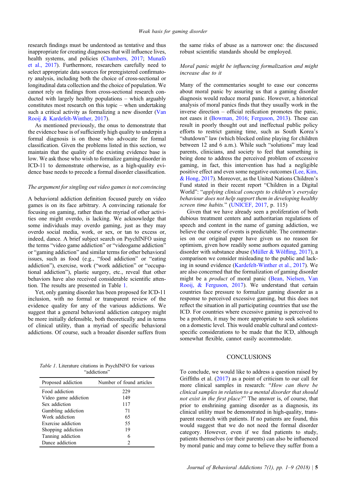research findings must be understood as tentative and thus inappropriate for creating diagnoses that will influence lives, health systems, and policies [\(Chambers, 2017;](#page-6-0) [Munafò](#page-7-0) [et al., 2017](#page-7-0)). Furthermore, researchers carefully need to select appropriate data sources for preregistered confirmatory analysis, including both the choice of cross-sectional or longitudinal data collection and the choice of population. We cannot rely on findings from cross-sectional research conducted with largely healthy populations – which arguably constitutes most research on this topic – when undertaking such a critical activity as formalizing a new disorder [\(Van](#page-8-0) [Rooij & Kardefelt-Winther, 2017\)](#page-8-0).

As mentioned previously, the onus to demonstrate that the evidence base is of sufficiently high quality to underpin a formal diagnosis is on those who advocate for formal classification. Given the problems listed in this section, we maintain that the quality of the existing evidence base is low. We ask those who wish to formalize gaming disorder in ICD-11 to demonstrate otherwise, as a high-quality evidence base needs to precede a formal disorder classification.

#### The argument for singling out video games is not convincing

A behavioral addiction definition focused purely on video games is on its face arbitrary. A convincing rationale for focusing on gaming, rather than the myriad of other activities one might overdo, is lacking. We acknowledge that some individuals may overdo gaming, just as they may overdo social media, work, or sex, or tan to excess or, indeed, dance. A brief subject search on PsychINFO using the terms "video game addiction" or "videogame addiction" or "gaming addiction" and similar terms for other behavioral issues, such as food (e.g., "food addiction" or "eating addiction"), exercise, work ("work addiction" or "occupational addiction"), plastic surgery, etc., reveal that other behaviors have also received considerable scientific attention. The results are presented in Table 1.

Yet, only gaming disorder has been proposed for ICD-11 inclusion, with no formal or transparent review of the evidence quality for any of the various addictions. We suggest that a general behavioral addiction category might be more initially defensible, both theoretically and in terms of clinical utility, than a myriad of specific behavioral addictions. Of course, such a broader disorder suffers from

|              | <i>Table 1</i> . Literature citations in PsychINFO for various |  |  |  |  |
|--------------|----------------------------------------------------------------|--|--|--|--|
| "addictions" |                                                                |  |  |  |  |

| Proposed addiction   | Number of found articles |  |  |
|----------------------|--------------------------|--|--|
| Food addiction       | 229                      |  |  |
| Video game addiction | 149                      |  |  |
| Sex addiction        | 117                      |  |  |
| Gambling addiction   | 71                       |  |  |
| Work addiction       | 65                       |  |  |
| Exercise addiction   | 55                       |  |  |
| Shopping addiction   | 19                       |  |  |
| Tanning addiction    | 6                        |  |  |
| Dance addiction      | 2                        |  |  |

the same risks of abuse as a narrower one: the discussed robust scientific standards should be employed.

# Moral panic might be influencing formalization and might increase due to it

Many of the commentaries sought to ease our concerns about moral panic by assuring us that a gaming disorder diagnosis would reduce moral panic. However, a historical analysis of moral panics finds that they usually work in the inverse direction – official reification promotes the panic, not eases it ([Bowman, 2016;](#page-6-0) [Ferguson, 2013](#page-6-0)). These can result in poorly thought out and ineffectual public policy efforts to restrict gaming time, such as South Korea's "shutdown" law (which blocked online playing for children between 12 and 6 a.m.). While such "solutions" may lead parents, clinicians, and society to feel that something is being done to address the perceived problem of excessive gaming, in fact, this intervention has had a negligible positive effect and even some negative outcomes ([Lee, Kim,](#page-7-0) [& Hong, 2017\)](#page-7-0). Moreover, as the United Nations Children's Fund stated in their recent report "Children in a Digital World": "applying clinical concepts to children's everyday behaviour does not help support them in developing healthy screen time habits." [\(UNICEF, 2017](#page-8-0), p. 115)

Given that we have already seen a proliferation of both dubious treatment centers and authoritarian regulations of speech and content in the name of gaming addiction, we believe the course of events is predictable. The commentaries on our original paper have given us no reason for optimism, given how readily some authors equated gaming disorder with substance abuse [\(Müller & Wöl](#page-7-0)fling, 2017), a comparison we consider misleading to the public and lacking in sound evidence ([Kardefelt-Winther et al., 2017\)](#page-7-0). We are also concerned that the formalization of gaming disorder might be a product of moral panic ([Bean, Nielsen, Van](#page-6-0) [Rooij, & Ferguson, 2017](#page-6-0)). We understand that certain countries face pressure to formalize gaming disorder as a response to perceived excessive gaming, but this does not reflect the situation in all participating countries that use the ICD. For countries where excessive gaming is perceived to be a problem, it may be more appropriate to seek solutions on a domestic level. This would enable cultural and contextspecific considerations to be made that the ICD, although somewhat flexible, cannot easily accommodate.

#### **CONCLUSIONS**

To conclude, we would like to address a question raised by Griffiths et al. ([2017\)](#page-6-0) as a point of criticism to our call for more clinical samples in research: "How can there be clinical samples in relation to a mental disorder that should not exist in the first place?" The answer is, of course, that prior to enshrining gaming disorder as a diagnosis, its clinical utility must be demonstrated in high-quality, transparent research with patients. If no patients are found, this would suggest that we do not need the formal disorder category. However, even if we find patients to study, patients themselves (or their parents) can also be influenced by moral panic and may come to believe they suffer from a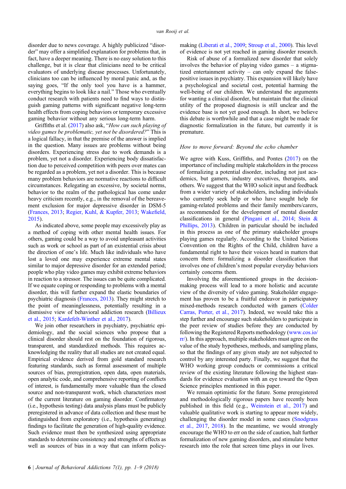disorder due to news coverage. A highly publicized "disorder" may offer a simplified explanation for problems that, in fact, have a deeper meaning. There is no easy solution to this challenge, but it is clear that clinicians need to be critical evaluators of underlying disease processes. Unfortunately, clinicians too can be influenced by moral panic and, as the saying goes, "If the only tool you have is a hammer, everything begins to look like a nail." Those who eventually conduct research with patients need to find ways to distinguish gaming patterns with significant negative long-term health effects from coping behaviors or temporary excessive gaming behavior without any serious long-term harm.

Griffiths et al. ([2017\)](#page-6-0) also ask, "How can such playing of video games be problematic, yet not be disordered?" This is a logical fallacy, in that the premise of the answer is implied in the question. Many issues are problems without being disorders. Experiencing stress due to work demands is a problem, yet not a disorder. Experiencing body dissatisfaction due to perceived competition with peers over mates can be regarded as a problem, yet not a disorder. This is because many problem behaviors are normative reactions to difficult circumstances. Relegating an excessive, by societal norms, behavior to the realm of the pathological has come under heavy criticism recently, e.g., in the removal of the bereavement exclusion for major depressive disorder in DSM-5 [\(Frances, 2013;](#page-6-0) [Regier, Kuhl, & Kupfer, 2013](#page-8-0); [Wake](#page-8-0)field, [2015](#page-8-0)).

As indicated above, some people may excessively play as a method of coping with other mental health issues. For others, gaming could be a way to avoid unpleasant activities such as work or school as part of an existential crisis about the direction of one's life. Much like individuals who have lost a loved one may experience extreme mental states similar to major depressive disorder for an extended period: people who play video games may exhibit extreme behaviors in reaction to a stressor. The issues can be quite complicated. If we equate coping or responding to problems with a mental disorder, this will further expand the elastic boundaries of psychiatric diagnosis ([Frances, 2013](#page-6-0)). They might stretch to the point of meaninglessness, potentially resulting in a dismissive view of behavioral addiction research [\(Billieux](#page-6-0) [et al., 2015;](#page-6-0) [Kardefelt-Winther et al., 2017\)](#page-7-0).

We join other researchers in psychiatry, psychiatric epidemiology, and the social sciences who propose that a clinical disorder should rest on the foundation of rigorous, transparent, and standardized methods. This requires acknowledging the reality that all studies are not created equal. Empirical evidence derived from gold standard research featuring standards, such as formal assessment of multiple sources of bias, preregistration, open data, open materials, open analytic code, and comprehensive reporting of conflicts of interest, is fundamentally more valuable than the closed source and non-transparent work, which characterizes most of the current literature on gaming disorder. Confirmatory (i.e., hypothesis testing) data analysis plans must be publicly preregistered in advance of data collection and these must be distinguished from exploratory (i.e., hypothesis generating) findings to facilitate the generation of high-quality evidence. Such evidence must then be synthesized using appropriate standards to determine consistency and strengths of effects as well as sources of bias in a way that can inform policymaking ([Liberati et al., 2009;](#page-7-0) [Stroup et al., 2000\)](#page-8-0). This level of evidence is not yet reached in gaming disorder research.

Risk of abuse of a formalized new disorder that solely involves the behavior of playing video games – a stigmatized entertainment activity – can only expand the falsepositive issues in psychiatry. This expansion will likely have a psychological and societal cost, potential harming the well-being of our children. We understand the arguments for wanting a clinical disorder, but maintain that the clinical utility of the proposed diagnosis is still unclear and the evidence base is not yet good enough. In short, we believe this debate is worthwhile and that a case might be made for diagnostic formalization in the future, but currently it is premature.

#### How to move forward: Beyond the echo chamber

We agree with Kuss, Griffiths, and Pontes ([2017\)](#page-7-0) on the importance of including multiple stakeholders in the process of formalizing a potential disorder, including not just academics, but gamers, industry executives, therapists, and others. We suggest that the WHO solicit input and feedback from a wider variety of stakeholders, including individuals who currently seek help or who have sought help for gaming-related problems and their family members/carers, as recommended for the development of mental disorder classifications in general ([Pingani et al., 2014;](#page-7-0) [Stein &](#page-8-0) [Phillips, 2013](#page-8-0)). Children in particular should be included in this process as one of the primary stakeholder groups playing games regularly. According to the United Nations Convention on the Rights of the Child, children have a fundamental right to have their voices heard in matters that concern them: formalizing a disorder classification that involves one of children's most popular everyday behaviors certainly concerns them.

Involving the aforementioned groups in the decisionmaking process will lead to a more holistic and accurate view of the diversity of video gaming. Stakeholder engagement has proven to be a fruitful endeavor in participatory mixed-methods research conducted with gamers [\(Colder](#page-6-0) [Carras, Porter, et al., 2017](#page-6-0)). Indeed, we would take this a step further and encourage such stakeholders to participate in the peer review of studies before they are conducted by following the Registered Reports methodology [\(www.cos.io/](http://www.cos.io/rr/)  $rr/$ ). In this approach, multiple stakeholders must agree on the value of the study hypotheses, methods, and sampling plans, so that the findings of any given study are not subjected to control by any interested party. Finally, we suggest that the WHO working group conducts or commissions a critical review of the existing literature following the highest standards for evidence evaluation with an eye toward the Open Science principles mentioned in this paper.

We remain optimistic for the future. Some preregistered and methodologically rigorous papers have recently been published in this field (e.g., [Weinstein et al., 2017\)](#page-8-0) and valuable qualitative work is starting to appear more widely, challenging the disorder model in some cases [\(Snodgrass](#page-8-0) [et al., 2017,](#page-8-0) [2018](#page-8-0)). In the meantime, we would strongly encourage the WHO to err on the side of caution, halt further formalization of new gaming disorders, and stimulate better research into the role that screen time plays in our lives.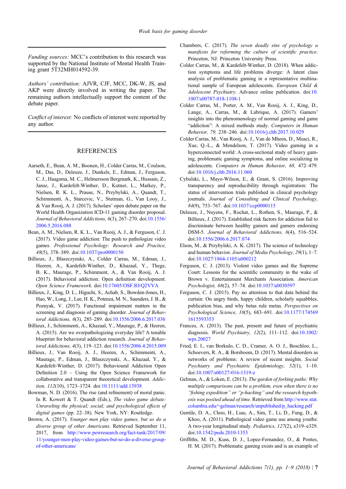<span id="page-6-0"></span>Funding sources: MCC's contribution to this research was supported by the National Institute of Mental Health Training grant 5T32MH014592-39.

Authors' contribution: AJVR, CJF, MCC, DK-W, JS, and AKP were directly involved in writing the paper. The remaining authors intellectually support the content of the debate paper.

Conflict of interest: No conflicts of interest were reported by any author.

## **REFERENCES**

- Aarseth, E., Bean, A. M., Boonen, H., Colder Carras, M., Coulson, M., Das, D., Deleuze, J., Dunkels, E., Edman, J., Ferguson, C. J., Haagsma, M. C., Helmersson Bergmark, K., Hussain, Z., Jansz, J., Kardefelt-Winther, D., Kutner, L., Markey, P., Nielsen, R. K. L., Prause, N., Przybylski, A., Quandt, T., Schimmenti, A., Starcevic, V., Stutman, G., Van Looy, J., & Van Rooij, A. J. (2017). Scholars' open debate paper on the World Health Organization ICD-11 gaming disorder proposal. Journal of Behavioral Addictions, 6(3), 267–270. doi:[10.1556/](http://dx.doi.org/10.1556/2006.5.2016.088) [2006.5.2016.088](http://dx.doi.org/10.1556/2006.5.2016.088)
- Bean, A. M., Nielsen, R. K. L., Van Rooij, A. J., & Ferguson, C. J. (2017). Video game addiction: The push to pathologize video games. Professional Psychology: Research and Practice, 48(5), 378–389. doi[:10.1037/pro0000150](http://dx.doi.org/10.1037/pro0000150)
- Billieux, J., Blaszczynski, A., Colder Carras, M., Edman, J., Heeren, A., Kardefelt-Winther, D., Khazaal, Y., Thege, B. K., Maurage, P., Schimment, A., & Van Rooij, A. J. (2017). Behavioral addiction: Open definition development. Open Science Framework. doi:[10.17605/OSF.IO/Q2VVA](http://dx.doi.org/10.17605/OSF.IO/Q2VVA)
- Billieux, J., King, D. L., Higuchi, S., Achab, S., Bowden-Jones, H., Hao, W., Long, J., Lee, H. K., Potenza, M. N., Saunders, J. B., & Poznyak, V. (2017). Functional impairment matters in the screening and diagnosis of gaming disorder. Journal of Behavioral Addictions, 6(3), 285–289. doi[:10.1556/2006.6.2017.036](http://dx.doi.org/10.1556/2006.6.2017.036)
- Billieux, J., Schimmenti, A., Khazaal, Y., Maurage, P., & Heeren, A. (2015). Are we overpathologizing everyday life? A tenable blueprint for behavioral addiction research. Journal of Behavioral Addictions, 4(3), 119–123. doi[:10.1556/2006.4.2015.009](http://dx.doi.org/10.1556/2006.4.2015.009)
- Billieux, J., Van Rooij, A. J., Heeren, A., Schimmenti, A., Maurage, P., Edman, J., Blaszczynski, A., Khazaal, Y., & Kardefelt-Winther, D. (2017). Behavioural Addiction Open Definition 2.0 – Using the Open Science Framework for collaborative and transparent theoretical development. Addiction, 112(10), 1723–1724. doi:[10.1111/add.13938](http://dx.doi.org/10.1111/add.13938)
- Bowman, N. D. (2016). The rise (and refinement) of moral panic. In R. Kowert & T. Quandt (Eds.), The video game debate: Unraveling the physical; social; and psychological effects of digital games (pp. 22–38). New York, NY: Routledge.
- Brown, A. (2017). Younger men play video games, but so do a diverse group of other Americans. Retrieved September 11, 2017, from [http://www.pewresearch.org/fact-tank/2017/09/](http://www.pewresearch.org/fact-tank/2017/09/11/younger-men-play-video-games-but-so-do-a-diverse-group-of-other-americans/) [11/younger-men-play-video-games-but-so-do-a-diverse-group](http://www.pewresearch.org/fact-tank/2017/09/11/younger-men-play-video-games-but-so-do-a-diverse-group-of-other-americans/)[of-other-americans/](http://www.pewresearch.org/fact-tank/2017/09/11/younger-men-play-video-games-but-so-do-a-diverse-group-of-other-americans/)
- Chambers, C. (2017). The seven deadly sins of psychology a manifesto for reforming the culture of scientific practice. Princeton, NJ: Princeton University Press.
- Colder Carras, M., & Kardefelt-Winther, D. (2018). When addiction symptoms and life problems diverge: A latent class analysis of problematic gaming in a representative multinational sample of European adolescents. European Child & Adolescent Psychiatry. Advance online publication. doi:[10.](http://dx.doi.org/10.1007/s00787-018-1108-1) [1007/s00787-018-1108-1](http://dx.doi.org/10.1007/s00787-018-1108-1)
- Colder Carras, M., Porter, A. M., Van Rooij, A. J., King, D., Lange, A., Carras, M., & Labrique, A. (2017). Gamers' insights into the phenomenology of normal gaming and game "addiction": A mixed methods study. Computers in Human Behavior, 79, 238–246. doi:[10.1016/j.chb.2017.10.029](http://dx.doi.org/10.1016/j.chb.2017.10.029)
- Colder Carras, M., Van Rooij, A. J., Van de Mheen, D., Musci, R., Xue, Q.-L., & Mendelson, T. (2017). Video gaming in a hyperconnected world: A cross-sectional study of heavy gaming, problematic gaming symptoms, and online socializing in adolescents. Computers in Human Behavior, 68, 472–479. doi[:10.1016/j.chb.2016.11.060](http://dx.doi.org/10.1016/j.chb.2016.11.060)
- Cybulski, L., Mayo-Wilson, E., & Grant, S. (2016). Improving transparency and reproducibility through registration: The status of intervention trials published in clinical psychology journals. Journal of Consulting and Clinical Psychology, 84(9), 753–767. doi:[10.1037/ccp0000115](http://dx.doi.org/10.1037/ccp0000115)
- Deleuze, J., Nuyens, F., Rochat, L., Rothen, S., Maurage, P., & Billieux, J. (2017). Established risk factors for addiction fail to discriminate between healthy gamers and gamers endorsing DSM-5. Journal of Behavioral Addictions, 6(4), 516–524. doi[:10.1556/2006.6.2017.074](http://dx.doi.org/10.1556/2006.6.2017.074)
- Elson, M., & Przybylski, A. K. (2017). The science of technology and human behavior. Journal of Media Psychology, 29(1), 1–7. doi[:10.1027/1864-1105/a000212](http://dx.doi.org/10.1027/1864-1105/a000212)
- Ferguson, C. J. (2013). Violent video games and the Supreme Court: Lessons for the scientific community in the wake of Brown v. Entertainment Merchants Association. American Psychologist, 68(2), 57–74. doi:[10.1037/a0030597](http://dx.doi.org/10.1037/a0030597)
- Ferguson, C. J. (2015). Pay no attention to that data behind the curtain: On angry birds, happy children, scholarly squabbles, publication bias, and why betas rule metas. Perspectives on Psychological Science, 10(5), 683–691. doi[:10.1177/174569](http://dx.doi.org/10.1177/1745691615593353) [1615593353](http://dx.doi.org/10.1177/1745691615593353)
- Frances, A. (2013). The past, present and future of psychiatric diagnosis. World Psychiatry, 12(2), 111–112. doi[:10.1002/](http://dx.doi.org/10.1002/wps.20027) [wps.20027](http://dx.doi.org/10.1002/wps.20027)
- Fried, E. I., van Borkulo, C. D., Cramer, A. O. J., Boschloo, L., Schoevers, R. A., & Borsboom, D. (2017). Mental disorders as networks of problems: A review of recent insights. Social Psychiatry and Psychiatric Epidemiology, 52(1), 1–10. doi[:10.1007/s00127-016-1319-z](http://dx.doi.org/10.1007/s00127-016-1319-z)
- Gelman, A., & Loken, E. (2013). The garden of forking paths: Why multiple comparisons can be a problem, even when there is no "fishing expedition" or "p-hacking" and the research hypothesis was posited ahead of time. Retrieved from [http://www.stat.](http://www.stat.columbia.edu/~gelman/research/unpublished/p_hacking.pdf) [columbia.edu/~gelman/research/unpublished/p\\_hacking.pdf](http://www.stat.columbia.edu/~gelman/research/unpublished/p_hacking.pdf)
- Gentile, D. A., Choo, H., Liau, A., Sim, T., Li, D., Fung, D., & Khoo, A. (2011). Pathological video game use among youths: A two-year longitudinal study. Pediatrics, 127(2), e319–e329. doi[:10.1542/peds.2010-1353](http://dx.doi.org/10.1542/peds.2010-1353)
- Griffiths, M. D., Kuss, D. J., Lopez-Fernandez, O., & Pontes, H. M. (2017). Problematic gaming exists and is an example of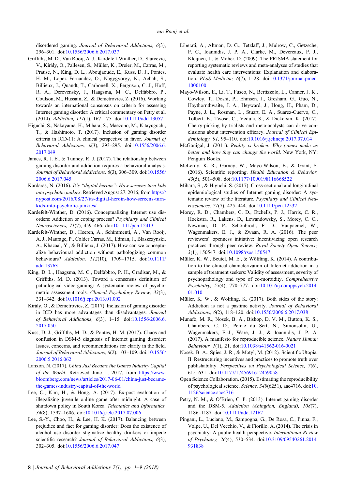<span id="page-7-0"></span>disordered gaming. Journal of Behavioral Addictions, 6(3), 296–301. doi:[10.1556/2006.6.2017.037](http://dx.doi.org/10.1556/2006.6.2017.037)

- Griffiths, M. D., Van Rooij, A. J., Kardefelt-Winther, D., Starcevic, V., Király, O., Pallesen, S., Müller, K., Dreier, M., Carras, M., Prause, N., King, D. L., Aboujaoude, E., Kuss, D. J., Pontes, H. M., Lopez Fernandez, O., Nagygyorgy, K., Achab, S., Billieux, J., Quandt, T., Carbonell, X., Ferguson, C. J., Hoff, R. A., Derevensky, J., Haagsma, M. C., Delfabbro, P., Coulson, M., Hussain, Z., & Demetrovics, Z. (2016). Working towards an international consensus on criteria for assessing Internet gaming disorder: A critical commentary on Petry et al. (2014). Addiction, 111(1), 167–175. doi[:10.1111/add.13057](http://dx.doi.org/10.1111/add.13057)
- Higuchi, S., Nakayama, H., Mihara, S., Maezono, M., Kitayuguchi, T., & Hashimoto, T. (2017). Inclusion of gaming disorder criteria in ICD-11: A clinical perspective in favor. Journal of Behavioral Addictions, 6(3), 293–295. doi[:10.1556/2006.6.](http://dx.doi.org/10.1556/2006.6.2017.049) [2017.049](http://dx.doi.org/10.1556/2006.6.2017.049)
- James, R. J. E., & Tunney, R. J. (2017). The relationship between gaming disorder and addiction requires a behavioral analysis. Journal of Behavioral Addictions, 6(3), 306–309. doi:[10.1556/](http://dx.doi.org/10.1556/2006.6.2017.045) [2006.6.2017.045](http://dx.doi.org/10.1556/2006.6.2017.045)
- Kardaras, N. (2016). It's "digital heroin": How screens turn kids into psychotic junkies. Retrieved August 27, 2016, from [https://](https://nypost.com/2016/08/27/its-digital-heroin-how-screens-turn-kids-into-psychotic-junkies/) [nypost.com/2016/08/27/its-digital-heroin-how-screens-turn](https://nypost.com/2016/08/27/its-digital-heroin-how-screens-turn-kids-into-psychotic-junkies/)[kids-into-psychotic-junkies/](https://nypost.com/2016/08/27/its-digital-heroin-how-screens-turn-kids-into-psychotic-junkies/)
- Kardefelt-Winther, D. (2016). Conceptualizing Internet use disorders: Addiction or coping process? Psychiatry and Clinical Neurosciences, 71(7), 459–466. doi:[10.1111/pcn.12413](http://dx.doi.org/10.1111/pcn.12413)
- Kardefelt-Winther, D., Heeren, A., Schimmenti, A., Van Rooij, A. J., Maurage, P., Colder Carras, M., Edman, J., Blaszczynski, A., Khazaal, Y., & Billieux, J. (2017). How can we conceptualize behavioural addiction without pathologizing common behaviours? Addiction, 112(10), 1709–1715. doi:[10.1111/](http://dx.doi.org/10.1111/add.13763) [add.13763](http://dx.doi.org/10.1111/add.13763)
- King, D. L., Haagsma, M. C., Delfabbro, P. H., Gradisar, M., & Griffiths, M. D. (2013). Toward a consensus definition of pathological video-gaming: A systematic review of psychometric assessment tools. Clinical Psychology Review, 33(3), 331–342. doi:[10.1016/j.cpr.2013.01.002](http://dx.doi.org/10.1016/j.cpr.2013.01.002)
- Király, O., & Demetrovics, Z. (2017). Inclusion of gaming disorder in ICD has more advantages than disadvantages. Journal of Behavioral Addictions, 6(3), 1–15. doi:[10.1556/2006.6.](http://dx.doi.org/10.1556/2006.6.2017.050) [2017.050](http://dx.doi.org/10.1556/2006.6.2017.050)
- Kuss, D. J., Griffiths, M. D., & Pontes, H. M. (2017). Chaos and confusion in DSM-5 diagnosis of Internet gaming disorder: Issues, concerns, and recommendations for clarity in the field. Journal of Behavioral Addictions, 6(2), 103–109. doi:[10.1556/](http://dx.doi.org/10.1556/2006.5.2016.062) [2006.5.2016.062](http://dx.doi.org/10.1556/2006.5.2016.062)
- Lanxon, N. (2017). China Just Became the Games Industry Capital of the World. Retrieved June 1, 2017, from [https://www.](https://www.bloomberg.com/news/articles/2017-06-01/china-just-became-the-games-industry-capital-of-the-world) [bloomberg.com/news/articles/2017-06-01/china-just-became](https://www.bloomberg.com/news/articles/2017-06-01/china-just-became-the-games-industry-capital-of-the-world)[the-games-industry-capital-of-the-world](https://www.bloomberg.com/news/articles/2017-06-01/china-just-became-the-games-industry-capital-of-the-world)
- Lee, C., Kim, H., & Hong, A. (2017). Ex-post evaluation of illegalizing juvenile online game after midnight: A case of shutdown policy in South Korea. Telematics and Informatics, 34(8), 1597–1606. doi[:10.1016/j.tele.2017.07.006](http://dx.doi.org/10.1016/j.tele.2017.07.006)
- Lee, S.-Y., Choo, H., & Lee, H. K. (2017). Balancing between prejudice and fact for gaming disorder: Does the existence of alcohol use disorder stigmatize healthy drinkers or impede scientific research? Journal of Behavioral Addictions, 6(3), 302–305. doi:[10.1556/2006.6.2017.047](http://dx.doi.org/10.1556/2006.6.2017.047)
- Liberati, A., Altman, D. G., Tetzlaff, J., Mulrow, C., Gøtzsche, P. C., Ioannidis, J. P. A., Clarke, M., Devereaux, P. J., Kleijnen, J., & Moher, D. (2009). The PRISMA statement for reporting systematic reviews and meta-analyses of studies that evaluate health care interventions: Explanation and elaboration. PLoS Medicine, 6(7), 1–28. doi:[10.1371/journal.pmed.](http://dx.doi.org/10.1371/journal.pmed.1000100) [1000100](http://dx.doi.org/10.1371/journal.pmed.1000100)
- Mayo-Wilson, E., Li, T., Fusco, N., Bertizzolo, L., Canner, J. K., Cowley, T., Doshi, P., Ehmsen, J., Gresham, G., Guo, N., Haythornthwaite, J. A., Heyward, J., Hong, H., Pham, D., Payne, J. L., Rosman, L., Stuart, E. A., Suarez-Cuervo, C., Tolbert, E., Twose, C., Vedula, S., & Dickersin, K. (2017). Cherry-picking by trialists and meta-analysts can drive conclusions about intervention efficacy. Journal of Clinical Epidemiology, 91, 95–110. doi:[10.1016/j.jclinepi.2017.07.014](http://dx.doi.org/10.1016/j.jclinepi.2017.07.014)
- McGonigal, J. (2011). Reality is broken: Why games make us better and how they can change the world. New York, NY: Penguin Books.
- McLeroy, K. R., Garney, W., Mayo-Wilson, E., & Grant, S. (2016). Scientific reporting. Health Education & Behavior, 43(5), 501–508. doi:[10.1177/1090198116668522](http://dx.doi.org/10.1177/1090198116668522)
- Mihara, S., & Higuchi, S. (2017). Cross-sectional and longitudinal epidemiological studies of Internet gaming disorder: A systematic review of the literature. Psychiatry and Clinical Neurosciences, 71(7), 425–444. doi:[10.1111/pcn.12532](http://dx.doi.org/10.1111/pcn.12532)
- Morey, R. D., Chambers, C. D., Etchells, P. J., Harris, C. R., Hoekstra, R., Lakens, D., Lewandowsky, S., Morey, C. C., Newman, D. P., Schönbrodt, F. D., Vanpaemel, W., Wagenmakers, E. J., & Zwaan, R. A. (2016). The peer reviewers' openness initiative: Incentivizing open research practices through peer review. Royal Society Open Science, 3(1), 150547. doi:[10.1098/rsos.150547](http://dx.doi.org/10.1098/rsos.150547)
- Müller, K. W., Beutel, M. E., & Wölfling, K. (2014). A contribution to the clinical characterization of Internet addiction in a sample of treatment seekers: Validity of assessment, severity of psychopathology and type of co-morbidity. Comprehensive Psychiatry, 55(4), 770–777. doi:[10.1016/j.comppsych.2014.](http://dx.doi.org/10.1016/j.comppsych.2014.01.010) [01.010](http://dx.doi.org/10.1016/j.comppsych.2014.01.010)
- Müller, K. W., & Wölfling, K. (2017). Both sides of the story: Addiction is not a pastime activity. Journal of Behavioral Addictions, 6(2), 118–120. doi:[10.1556/2006.6.2017.038](http://dx.doi.org/10.1556/2006.6.2017.038)
- Munafò, M. R., Nosek, B. A., Bishop, D. V. M., Button, K. S., Chambers, C. D., Percie du Sert, N., Simonsohn, U., Wagenmakers, E.-J., Ware, J. J., & Ioannidis, J. P. A. (2017). A manifesto for reproducible science. Nature Human Behaviour, 1(1), 21. doi:[10.1038/s41562-016-0021](http://dx.doi.org/10.1038/s41562-016-0021)
- Nosek, B. A., Spies, J. R., & Motyl, M. (2012). Scientific Utopia: II. Restructuring incentives and practices to promote truth over publishability. Perspectives on Psychological Science, 7(6), 615–631. doi[:10.1177/1745691612459058](http://dx.doi.org/10.1177/1745691612459058)
- Open Science Collaboration. (2015). Estimating the reproducibility of psychological science. Science, 349(6251), aac4716. doi:[10.](http://dx.doi.org/10.1126/science.aac4716) [1126/science.aac4716](http://dx.doi.org/10.1126/science.aac4716)
- Petry, N. M., & O'Brien, C. P. (2013). Internet gaming disorder and the DSM-5. Addiction (Abingdon, England), 108(7), 1186–1187. doi[:10.1111/add.12162](http://dx.doi.org/10.1111/add.12162)
- Pingani, L., Luciano, M., Sampogna, G., De Rosa, C., Pinna, F., Volpe, U., Del Vecchio, V., & Fiorillo, A. (2014). The crisis in psychiatry: A public health perspective. International Review of Psychiatry, 26(4), 530–534. doi:[10.3109/09540261.2014.](http://dx.doi.org/10.3109/09540261.2014.931838) [931838](http://dx.doi.org/10.3109/09540261.2014.931838)